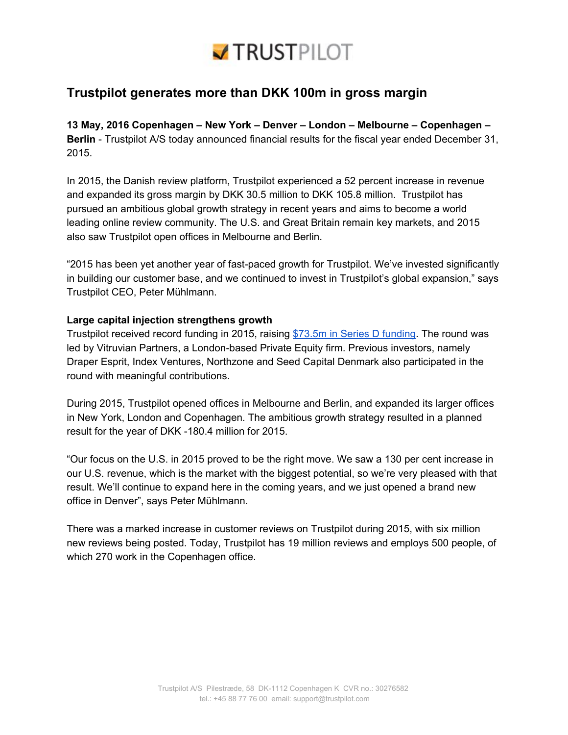

## **Trustpilot generates more than DKK 100m in gross margin**

**13 May, 2016 Copenhagen – New York – Denver – London – Melbourne – Copenhagen – Berlin** - Trustpilot A/S today announced financial results for the fiscal year ended December 31, 2015.

In 2015, the Danish review platform, Trustpilot experienced a 52 percent increase in revenue and expanded its gross margin by DKK 30.5 million to DKK 105.8 million. Trustpilot has pursued an ambitious global growth strategy in recent years and aims to become a world leading online review community. The U.S. and Great Britain remain key markets, and 2015 also saw Trustpilot open offices in Melbourne and Berlin.

"2015 has been yet another year of fast-paced growth for Trustpilot. We've invested significantly in building our customer base, and we continued to invest in Trustpilot's global expansion," says Trustpilot CEO, Peter Mühlmann.

## **Large capital injection strengthens growth**

Trustpilot received record funding in 2015, raising \$73.5m in Series D [funding.](http://press.trustpilot.com/news/2015/5/28/trustpilot-closes-735-million-series-d-round-becomes-the-standard-for-trust-online) The round was led by Vitruvian Partners, a London-based Private Equity firm. Previous investors, namely Draper Esprit, Index Ventures, Northzone and Seed Capital Denmark also participated in the round with meaningful contributions.

During 2015, Trustpilot opened offices in Melbourne and Berlin, and expanded its larger offices in New York, London and Copenhagen. The ambitious growth strategy resulted in a planned result for the year of DKK -180.4 million for 2015.

"Our focus on the U.S. in 2015 proved to be the right move. We saw a 130 per cent increase in our U.S. revenue, which is the market with the biggest potential, so we're very pleased with that result. We'll continue to expand here in the coming years, and we just opened a brand new office in Denver", says Peter Mühlmann.

There was a marked increase in customer reviews on Trustpilot during 2015, with six million new reviews being posted. Today, Trustpilot has 19 million reviews and employs 500 people, of which 270 work in the Copenhagen office.